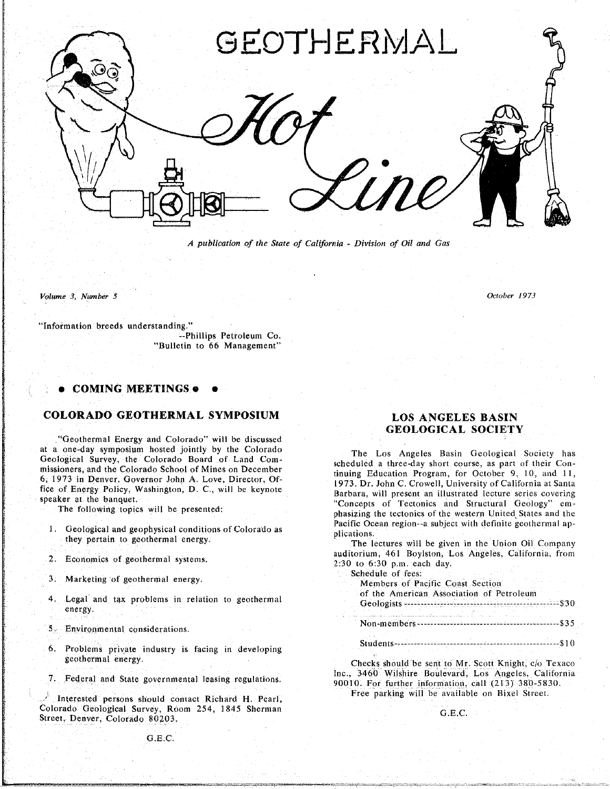

*A publication of the State of Califo*r*nia* **-** *Division of Oil and Gas*

*Volume 3***,** *Number 5 October 1973*

"Information breeds understanding."<br>Phillips Petroleum Co.

**-**-Ph**i**llip**s** Petr**o**leum Co. "Bulletin to 66 Management"

• **COMIN**G **MEETINGS** o •

### **COLORADO GEOTHERMAL SYMPOSIUM**

"Ge**o**thermal Energy a**n**d Col**o**rad**o**" wi**l**l be discussed at a one-day symposium nosted jointly by the Colorado<br>
Geological Survey, the Colorado Board of Land Com-<br>
missioners, and the Colorado School of Mines on December<br>
tinying Education Brogram for Ostober 9, 10, and 11

- 1. Geological and geophysical conditions of Colorado as<br>they pertain to geothermal energy.<br>The lectures will be given in the Union Oil Company
- 
- 
- 4. Legal and tax problems in relation to geothermal energy.
- 
- 6. Pr**o**bl**e**m**s** priv**at**e **i**ndustry i**s** facing in developi**n**g
- 

Interested persons should contact Richard H. Pearl, Colorado Geological Survey, Room 254, 1845 Sherman Street. Denver. *Colorado 80203*.

## **COLORADO GEOTHERMAL SYMPOSIUM LOS ANGELES BASIN GEOLOGICAL SOCIETY**

missioners, and the Colorado School of Mines on December<br>6, 1973 in Denver, Governor John A. Love, Director, Of-<br>1973. Dr. John C. Crowell, University of California at Santa fice of Energy Policy, Washington, D. C., will be keynote<br>speaker at the banquet.<br>Concerns and Houstand Issues overing<br>concerns the Test of Test issues at Structure series covering **rice of Tectonics and Structural Geology** employeer at the bandwich and the following topics will be presented:<br>The following topics will be presented:<br>the state and the present and the series covering the tectonics of th phasizing the tectonics of the western United States and the Pacific Ocean region--a subject with definite geothermal ap-

2. Economics of geothermal systems.<br>
2.30 to 6:30 p.m. asch day.<br>
2.30 to 6:30 p.m. asch day. aud**i**torium, 461 B**o**ylston*.* L**o**s **A**nge**l**es. *C***a**lif**o**r**ni**a. from

| 3. Marketing of geothermal energy.                                                                                                                                      | Schedule of fees:<br>and working and the company<br>Members of Pacific Coast Section |
|-------------------------------------------------------------------------------------------------------------------------------------------------------------------------|--------------------------------------------------------------------------------------|
| 4. Legal and tax problems in relation to geothermal<br>energy.                                                                                                          | of the American Association of Petroleum                                             |
| 5. Environmental considerations.                                                                                                                                        |                                                                                      |
| 6. Problems private industry is facing in developing<br>the contract of the contract of the contract of the contract of the contract of the contract of the contract of |                                                                                      |

geothermal energy.<br> *Checks should be sent to Mr. Scott Knight, c/o Texaco*<br>
7. Federal and State governmental leasing regulations.<br>
<sup>2.</sup> The., 3460 Wilshire Boulevard, Los Angeles, California 90010. For further information, call (213) 380-5830. 7. Federal and State governmental leasing regulations. 90010, For further information, call (213**)** 380-5830.

Free parking will be available on **B**ixel Street.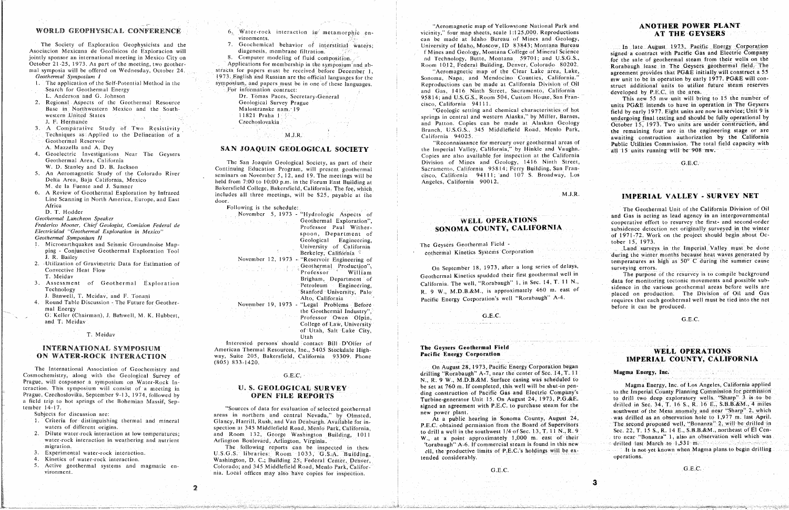The Society of Exploration Geophysicists and the outly sponsor an international meeting in Mexico City on 8. Computer modeling of fluid composition. and ab and Technology, Butte, Montana 59701; and U.S.G.S., for the sale of geothermal steam from their wells on the Octobe

Geothermal Area. California The San Joaquin Geological Society, as part of their Division of Mines and Geology, 1416 Ninth Street, G.E.*C*. 5. An Aeromagnetic Study of the Colorado River<br>Delta Area, Baja California, Mexico<br>held from 7:00 to 10:00 n m in the Forum East Building will be anneling will be california 94111; and 107. S. Broadway, Los held from 7:00 to 10:00 p.m. in the Forum East Building at **Angeles**, California 90012. *Delta Fuente and J. Sumner* Bakersfield College, Bakersfield, California. The fee, which 6. A Review of Geothermal Exploration by Infrared includes all three meetings, will be \$25, payable at the

Round Table Discussion - The Future for Geother-<br>
Movember 19, 1973 - "Legal Problems Before" and Energy before it can be produced.<br>
He Geothermal Industry" before it can be produced. and T. Meidav. **Example 2014**, J. Batharman, College of Taw. University of the contract of the contract of the contract of the contract of the contract of the contract of the contract of the contract of the contract of the College of Law, University<br>of Utah, Salt Lake City,

Interested persons should contact Bill D'Olier of American Thermal Resources, Inc., 5405 Stockdale High-**ON WATER-ROCK INTERACTION** way, Suite 205, Bakersfield, California 93309. Phone **Pacific Energy Corporation O**ON WAY, Suite 205. Bakersfield. California 93309. Phone **Pacific 2018 2018 12:00 Pacific 2000 Pacific 2000 Pacific 2000 Pacific 2000 Pacific 2000 Pacific 2000 Pacific 2000 Pacific 2000 Pacific 2000 Pacific 2000 Pacific** 

Utah

mental water-rock interaction. The found of the found in the found in the found in the found in the found in the found in the found in the steam is of the steam is found in the found in the found in the steam is of the ste 3. Kinetics of water-rock interaction. Washington, D.C., Building 25, Federal Center, Denver, 5. Active geothermal systems and magmatic en-<br>
vironment<br>
G.E.C.<br>
Colorado; and 345 Middlefield Road, Menlo Park, Califorstronment.<br>
Figure 2.2.2. California systems and 345 Middle Park. **Calculation** Colorado; and 345 Middlefield Road. Menlo Par

The tamorphic en-<br>
WORLD GEOPHYSICAL CONFERENCE 6, Water-rock interaction in metamorphic en-<br>
Vicinity," four map sheets, scale 1:125,000. Reproductions **AT THE GEYSERS** W**O**R**L**D G**EO**P**HYS**IC**A**L C**O**N**F**EREN**C**E 6 Water-rock interaction ill metamorphic en- vicinity," four map sheets, scale 1:t25.000. Reproductions **AT THE** GEY**SERS** Geochemical behavior of interstitial waters; University of Idaho, Moscow, ID 83843; Montana Bureau The Society of Exploration Geophysicists and the 7. Geochemical behavior of interstitial waters; University of Idaho, Moscow, ID 83843; Montana Bureau In late August 1973, Pacific Energy Corporation Asociacion Mexicana de

The application of the Self-Potential Method in the symposium, and papers must be in one of these languages.<br>Search for Geothermal Energy and Energy and Gas 1416 Ninth Street Sacramento California Division of Oil struct ad For information contract: and Gas, 1416 Ninth Street, Sacramento, California developed by P.E.C. in the area. E. Anderson and G. Johnson<br>
2. Regional Aspects of the Geothermal Resource Geological Survey Prague (S.G.S., Room 504, Custom House, San Fran-<br>
2. Regional Aspects of the Geothermal Resource Geological Survey Prague (S.G.S

Experimental and western Mexico and the States of the States of the States of the South Malostranske numeration of the States of the States of the States of the South Malostranske in Sundergoing final and western Alaska, b western *,*United States t 1821 Praha 1 springs in central and western Alaska*?'* by Miller, Barnes. undergoing final testing and should be fuliy operational by J. F. H. F. Hermanning College of Two Resistivity<br>Techniques as Applied to the Delineation of a<br>California 94025 California 94025 California 94025 California and internation, and the engineering stage or are

A. Mazzella and A. Dey<br>4. Geoelectric Investigations Near The Geysers **SAN JOAQUIN GEOLOGICAL SOCIETY** the Imperial Valley, California, by Hinkle and Vaughn. all 15 units running will be 908 mw. Geoelectric Investigations Near The Geysers<br>
Geothermal Area, California and Ceological Sections of the home and Geology 1416 Ninth Street The San Joaquin Geological Society, as part of their **Communisty Containers and Geology**, 1416. Ninth Street,

 $M.J.R.$ 

*Geological* Engineering, The Geysers Geothermal Field **1993.** The project spoon is a spoon of California about Ocean *in in Geysers Geothermal* Field **1973.** Work of California

2. *Utiliam*<br>2. *Utiliam* Geothermal Media of Gravimetric Data for September 18. 1973, and a long september 18. 1973<br>2. *Utiliam* Geothermal Media for the purpose of the resurvey is to compile background<br>2. Convention of S

# The Geysers Geothermal Field

**On August 28, 1973, Pacific Energy Corporation began** 

water-rock interaction in weathering and nutrient and Arlington Boulevard, Arlington, Virginia.<br>Mater-rock interaction in weathering and nutrient Arlington Boulevard, Arlington, Virginia.<br>Rorabaugh A-6. If commercial steam water-rock interaction in weathering and nutrient and nutrient Arlington Boulevard. Arlington, Virginia.<br>The constant and the productive limits of P.E.C.'s holdings will be ex-<br>Experimental water-rock interaction Magma pla

- 
- 
- 
- 
- 
- 
- 
- 
- 
- Exploration by Infrared includes all three meetings, will be \$25, payable at the M.J.R. **IMPERIAL VALLEY SURVEY NET**<br>
Africa M.J.R. **IMPERIAL VALLEY SURVEY NET**<br>
Africa Following is the schedule: Line Scanning ill North Ameri ca*.* Europe, and East door*.*
- 

- 1. Microearthquakes and Seismic Groundnoise Map-<br>
The Geysers Geothermal Field The Geysers Geothermal Field Land surveys in the Imperial Valley must be done<br>
Berkeley, California Berkeley, California entertainments had sur ping - Conjunctive Geothermal Exploration Tool Berkeley, California The Geothermal Exploration Tool
- Utilization of Gravimetric Data for Estimation of Convergence Convective Heat Flow Convective Heat Flow Surveying errors.
- 
- 
- 1. Round Table Discussion- The Future for Geothermal Industry".<br>
The Geothermal Industry".<br>
The Geothermal Industry". Can be professor in the Geothermal Industry". Gallery Can be professor in the Geothermal Industry".

T. Meidav

# **INTERNATIONAL SYMPOSIUM**

The International Association of Geochemistry and The International Association of Geochemistry and On August 28, 1973, Pacific Energy Corporation began Cosmochemistry, along with the Geological Survey of G.E.C. drilling "Rorabaugh' *A*-7*,* near the center of See. 14. T.*.* 11 Magma Ene**r**gy, In**c**. *, Progues.* Will cosponsor a symposium on Water-Rock In-<br> **Progression** will consist of a meeting in **U.S. GEOLOGICAL SURVEY** be set at 760 m. If completed, this well will be shut-in pen-Praction. This symposium will consist of a meeting in<br>Practic Company of Pacific Gas and Electric Company's to the Imperial County Planning Commission for permission<br>Turbine-generator Unit 1.5 On August 24, 1973. P.G.&E. t extension of the Bohemian Massif, Sep-<br>a field in the steam of the Soleman Massif, Sep-<br>signed an agreement with P.E.C. to purchase steam for the drilled in Sec. 34, T. 16 S., R. 16 E., S.B.B.&M., 4 miles

- 
- 
- 
- 
- 
- 
- $7_{\circ}$ 
	-

October 21-25, 1973. As part of the meeting, two geother-<br>mal symposia will be offered on Wednesday, October 24. stracts for papers must be received before December 1,<br>Aeromagnetic map of the Clear Lake area, Lake, and acc stracts for papers must be received before December 1, "Aeromagnetic map of the Clear Lake area, Lake, agreement provides that PG&E initially will construct a 55 Geothermal Symposium I agreement provides and the symposium of the symposium, and papers must be in one of these languages for the Sonoma, Napa, and Mendocino Counties, California." The application of the Self-Potential Me

Ceological Survey Prague Cisco, California 94111.<br>Malostranske nam. 19<br>Malostranske nam. 19 Base in Northwestern Mexico and the South-<br>
2. Regional Aspects of the Geologic setting and chemical characteristics of hot and western United States<br>
2. Prague city of the Geologic setting and western Alaska. by Miller, B 3. Techniques as Applied to the Delineation of a **Middlefield Road.** Middlefield Road. Middlefield Road. Mennes and the California Study of the California California Applied to the California Geothermal areas of a swatting Techniques as Applied to the Delineation of the Delineation of the Delineation of the Delineation of the Applied of A. Mazzella and A. Dev<br>A. Mazzella and A. Dev

as the company of the companion and the

Africa Following is the schedule:<br>
D. T. Hodder Movember 5, 1973 - "Hydrologic Aspects of and Gas is acting as lead agency in an intergovernmental<br>
Ceothermal Luncheon Speaker Coothermal Unit of the California Division of Geothermal Luncheon Speaker<br>Frederico Mooser, Chief Geologist, Comision Federal de Professor, Bank Withor CONDINA CALIFORNIA CONDINATIONS *Frederico Mooser*, Chief Geologist, Comision Federal de **SONOMA COUNTY, CALIFORNIA** and subsidence detection net originally surveyed in the winter-<br>Electricidad "Geothermal Exploration in Mexico" **and SONOMA COUNTY, CALIF** Electricidad "Geothermal Exploration in Mexico"<br>Geothermal Symposium II Coolorisal Engineering Coolorisal Engineering of 1971-72. Work on the project should begin about Oc-

The Serkeley, California Capital Kinetics Systems Corporation<br>
1. R. Bailey<br>
2. Utilization of Gravimetric Data for Estimation of November 12, 1973 - "Reservoir Engineering of the Systems Corporation<br>
2. Utilization of Gra

The Summer of Geothermal Exploration<br>Technology and Exploration State of California. The well, "Rorabaugh" 1, in Sec. 14, T. 11 N., data for monitoring tectonic movements and possible sub-<br>Paw MDR&M is annoximately 460 m. 3. Assessment of Geothermal According to Christophermal Controllering, The Georgian Petroleum Engineering, Palo<br>Banwell, T. Meiday, and F. Tonani M. To Christophermal in See. 14 T. 11 N. 2006 and production and placed on p Technology Stanford University, Paint Case of Production of Oil and Gas and Gas and Gas approximately areas and Alto, California Alto, California and Alto, California are particle in the earth of the sidence of sidence in

# **WELL OPERATIONS**

### Magma Energy, Inc.

a field triangled triangled triangled triangled triangled triangled triangled triangled triangled triangled triangled triangled triangled triangled triangled triangled triangled triangled triangled triangled triangled tria tempt 14-17<sup>2</sup> areas the mean and mineral states of data for evaluation of selected geothermal new power plant.<br>The public hearing in Sonoma County, August 24, was drilled as an observation hole to 1,977 m. last April. Subject the distinguishing thermal and mineral Clancy, Harrill, Rush, and Van Denburgh. Available for in-<br>Waters of different origins of different origins of the drilled in the Mesa and Nevada and Nevada and near in the Me waters of different origins.<br>spection at 345 Middlefield Road, Mento Park, California,<br>column the southwest 1/4 of Sec. 13, T. 11 N.R. 9. Sec. 22, T. 15 S., R. 14 E., S.B.B.&M., northeast of El Cen-2. District of the contraction at low-temperatures;<br>2. District interaction at low-temperatures;<br>2. We at a noint-approximately 1.000 meast of their to-near "Bonanza" 1, also an observation well which was

 $G.E.C.$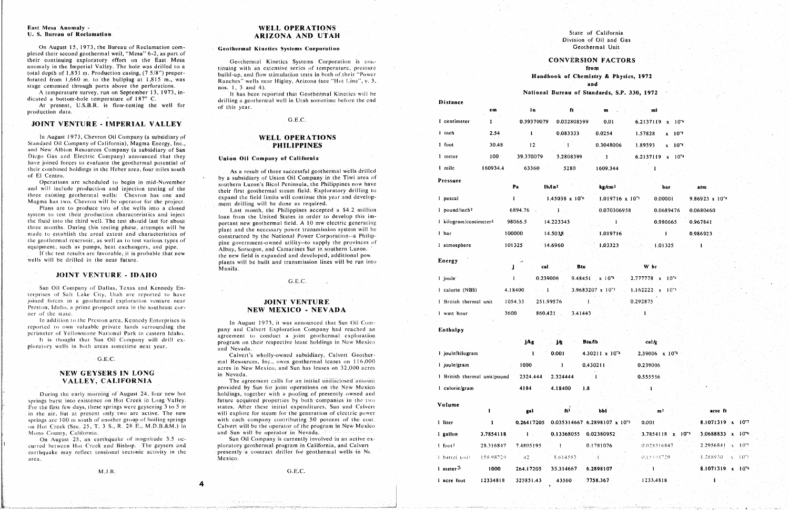### East Mesa Anomaly -U. S. Bureau of Reclamation

On August 15, 1973, the Bureau of Reclamation completed their second geothermal well, "Mesa" 6-2, as part of their continuing exploratory effort on the East Mesa anomaly in the Imperial Valley. The hole was drilled to a total depth of 1,831 m. Production casing,  $(7.5/8)$  preperforated from  $1,660$  m. to the bullplug at  $1,815$  m., was stage cemented through ports above the perforations.

A temperature survey, run on September 13, 1973, indicated a bottom-hole temperature of 187° C.

At present, U.S.B.R. is flow-testing the well for production data.

# JOINT VENTURE - IMPERIAL VALLEY

In August 1973, Chevron Oil Company (a subsidiary of Standard Oil Company of California), Magma Energy, Inc., and New Albion Resources Company (a subsidiary of San Diego Gas and Electric Company) announced that they have joined forces to evaluate the geothermal potential of their combined holdings in the Heber area, four miles south of El Centro.

Operations are scheduled to begin in mid-November and will include production and injection testing of the three existing geothermal wells: Chevron has one and Magma has two. Chevron will be operator for the project.

Plans are to produce two of the wells into a closed system to test their production characteristics and inject the fluid into the third well. The test should last for about three months. During this testing phase, attempts will be made to establish the areal extent and characteristics of the geothermal reservoir, as well as to test various types of equipment, such as pumps, heat exchangers, and pipe.

If the test results are favorable, it is probable that new wells will be drilled in the near future.

### **JOINT VENTURE - IDAHO**

Sun Oil Company of Dallas, Texas and Kennedy Enterprises of Salt Lake City, Utah are reported to have joined forces in a geothermal exploration venture near Preston, Idaho, a prime prospect area in the southeast corner of the state.

In addition to the Preston area, Kennedy Enterprises is reported to own valuable private lands surrounding the perimeter of Yellowstone National Park in eastern Idaho.

It is thought that Sun Oil Company will drill exploratory wells in both areas sometime next year.

### $\cdot$  G.E.C.

# NEW GEYSERS IN LONG VALLEY, CALIFORNIA

During the early morning of August 24, four new hot springs burst into existence on Hot Creek in Long Valley. For the first few days, these springs were geysering 3 to 5 m in the air, but at present only two are active. The new springs are 100 m south of another group of boiling springs on Hot Creek (Sec. 25, T. 3 S., R. 28 E., M.D.B.&M.) in Mono County, California.

On August 25, an earthquake of magnitude 3.5 occurred between Hot Creek and Bishop. The geysers and earthquake may reflect tensional tectonic activity in the area.

M.J.R.

# **WELL OPERATIONS ARIZONA AND UTAH**

### **Geothermal Kinetics Systems Corporation**

Geothermal Kinetics Systems Corporation is continuing with an extensive series of temperature, pressure build-up, and flow stimulation tests in both of their "Power Ranches" wells near Higley, Arizona (see "Hot Line", v. 3, nos. 1, 3 and 4).

It has been reported that Geothermal Kinetics will be drilling a geothermal well in Utah sometime before the end of this year.

### $G.E.C.$

# **WELL OPERATIONS PHILIPPINES**

### Union Oil Company of California

As a result of three successful geothermal wells drilled by a subsidiary of Union Oil Company in the Tiwi area of southern Luzon's Bicol Peninsula, the Philippines now have their first geothermal steam field. Exploratory drilling to expand the field limits will continue this year and development drilling will be done as required.

Last month, the Philippines accepted a \$4.2 million loan from the United States in order to develop this important new geothermal field. A 10 mw electric generating plant and the necessary power transmission system will be constructed by the National Power Corporation--a Philippine government-owned utility--to supply the provinces of Albay, Sorsogon, and Camarines Sur in southern Luzon. the new field is expanded and developed, additional pow plants will be built and transmission lines will be run into Manila.

### $G.E.C.$

# **JOINT VENTURE** NEW MEXICO - NEVADA

In August 1973, it was announced that Sun Oil Company and Calvert Exploration Company had reached an agreement to conduct a joint geothermal exploration program on their respective lease holdings in New Mexico and Nevada.

Calvert's wholly-owned subsidiary, Calvert Geothermal Resources, Inc., owns geothermal leases on 116,000 acres in New Mexico, and Sun has leases on 32,000 acres in Nevada.

The agreement calls for an initial undisclosed amount provided by Sun for joint operations on the New Mexico holdings, together with a pooling of presently owned and future acquired properties by both companies in the two states. After these initial expenditures, Sun and Calvert will explore for steam for the generation of electric power with each company contributing 50 percent of the cost. Calvert will be the operator of the program in New Mexico and Sun will be operator in Nevada.

Sun Oil Company is currently involved in an active exploratory geothermal program in California, and Calvert presently a contract driller for geothermal wells in Ne Mexico.

from Handbook of Chemistry & Physics, 1972 and National Bureau of Standards, S.P. 330, 1972

| <b>Distance</b>                    |              |           |                    |                            |                  |                                                          |          |                              |                          |
|------------------------------------|--------------|-----------|--------------------|----------------------------|------------------|----------------------------------------------------------|----------|------------------------------|--------------------------|
|                                    | cm           |           | i n                |                            | $f1 -$           | m                                                        |          | mi                           |                          |
| 1 centimeter                       | $\mathbf{L}$ |           | 0.39370079         |                            | 0.032808399      | 0.01                                                     |          | 6.2137119 x 10 <sup>-6</sup> |                          |
| 1 inch                             | 2.54         |           | $\mathbf{1}$       | 0.083333                   |                  | 0.0254                                                   | 1.57828  | $x = 10^{-5}$                |                          |
| 1 foot                             | 30.48        |           | 12                 | $\mathbf{1}^{\mathcal{C}}$ |                  | 0.3048006                                                | 1.89393  | $x - 10^{-4}$                |                          |
| 1 meter                            | 100          | 39.370079 |                    | 3.2808399                  |                  | $\mathbf{I}$                                             |          | 6.2137119 x 10 <sup>-4</sup> |                          |
| 1 mile                             | 160934.4     |           | 63360              |                            | 5280             | 1609.344                                                 |          |                              |                          |
| Pressure                           |              |           |                    |                            |                  |                                                          |          |                              |                          |
|                                    |              | Pa        | lb/in <sup>2</sup> |                            |                  | kg/cm <sup>2</sup>                                       |          | bar                          | atm                      |
| l pascal                           |              | 1         |                    | $1.45038 \times 10^{6}$    |                  | $1.019716 \times 10^{-5}$                                |          | 0.00001                      | $9.86923 \times 10^{-7}$ |
| 1 pound/inch <sup>2</sup>          |              | 6894.76   |                    |                            |                  | 0.070306958                                              |          | 0.0689476                    | 0.0680460                |
| 1 kilogram/centimeter <sup>2</sup> |              | 98066.5   |                    | 14.223343                  |                  |                                                          |          | 0.980665                     | 0.967841                 |
| 1 bar                              |              | 100000    |                    | 14.503.8                   |                  | 1.019716                                                 |          |                              | 0.986923                 |
| i atmosphere                       |              | 101325    | 14.6960            |                            |                  | 1.03323                                                  |          | 1.01325                      |                          |
| <b>Energy</b>                      |              |           |                    |                            |                  |                                                          |          |                              |                          |
|                                    |              | Ĵ.        | cal                |                            | Btu              |                                                          | W hr     |                              |                          |
| 1 joule                            |              | 1         | 0.239006           |                            |                  | $9.48451 \times 10^{-4}$                                 |          | 2.777778 x 10 <sup>-4</sup>  |                          |
| 1 calorie (NBS)                    |              | 4.18400   | 1                  |                            |                  | 3.9683207 x 10 <sup>-3</sup> 1.162222 x 10 <sup>-3</sup> |          |                              |                          |
| 1 British thermal unit             |              | 1054.35   | 251.99576          |                            | $\sim 1^{\circ}$ |                                                          | 0.292875 |                              |                          |
| I watt hour                        |              | 3600      | 860.421            |                            | $-3.41443$       |                                                          | 1.       |                              |                          |
| Enthalpy                           |              |           |                    |                            |                  |                                                          |          |                              |                          |
|                                    |              | i Aca     |                    | i da -                     | Rtu Ah           |                                                          | rol kr   |                              |                          |

|                              |              | j/kg         | j⁄g.      | Btu/lb                                     | calk                       |                                |
|------------------------------|--------------|--------------|-----------|--------------------------------------------|----------------------------|--------------------------------|
| 1 joule/kilogram             |              |              | 0.001     | $4.30211 \times 10^{-4}$                   | 2.39006 x 10 <sup>-4</sup> |                                |
| I joule/gram                 |              | 1000         |           | 0.430211                                   | 0.239006                   |                                |
| 1 British thermal unit/pound |              | 2324.444     | 2.324444  |                                            | 0.555556                   |                                |
| 1 caloric/gram               |              | 4184         | 4.18400   | 1.8                                        |                            |                                |
| Volume                       |              |              |           |                                            |                            |                                |
|                              |              | gal          | ft3.      | <b>bbl</b>                                 | m <sup>3</sup>             | acre ft                        |
| l liter                      | $\mathbf{1}$ | 0.26417205   |           | $0.035314667$ 6.2898107 x 10 <sup>-3</sup> | 0.001                      | 8.1071319 x 1077               |
| I gallon                     | 3,7854118    | $\mathbf{1}$ |           | 0.13368055 0.02380952                      | $3.7854118 \times 10^{-3}$ | 3.0688833 $x$ 10 <sup>*6</sup> |
| l foot <sup>3</sup>          | 28.316847    | 7.4805195    | $\sim 1$  | 0.1781076                                  | 0.028316847                | 2.2956841<br>$x = 10^{25}$     |
| Ebarrel (oil)                | 158.98729    | $42^{\circ}$ | 5.614583  |                                            | 0.15598729                 | 1.188930<br>$x = 10^{-1}$      |
| 1 meter <sup>3</sup>         | 1000         | 264.17205    | 35,314667 | 6,2898107                                  |                            | $8.1071319 \times 10^{-4}$     |
| l acre foot                  | 12334818     | 325851.43    | 43560     | 7758,367                                   | 1233,4818                  |                                |
|                              |              |              |           |                                            |                            |                                |

State of California Division of Oil and Gas Geothermal Unit

### **CONVERSION FACTORS**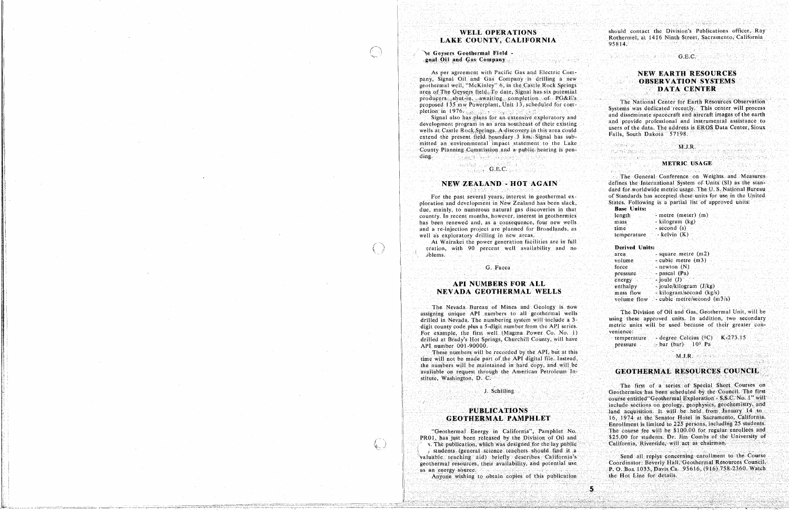# **WELL OPERATIONS** LAKE COUNTY, CALIFORNIA

### le Geysers Geothermal Field gnal Oil and Gas Company

Gebba Je

 $\left(\begin{array}{c} 1 \\ 1 \end{array}\right)$ 

 $\langle \cdot \rangle$ 

 $(\zeta)$ 

As per agreement with Pacific Gas and Electric Company, Signal Oil and Gas Company is drilling a new geothermal well, "McKinley" 6, in the Castle Rock Springs area of The Geysers field. To date, Signal has six potential producers shut-in, awaiting completion of PG&E's proposed 135 mw Powerplant, Unit 13, scheduled for completion in 1976.

Signal also has plans for an extensive exploratory and development program in an area southeast of their existing wells at Castle Rock Springs. A discovery in this area could extend the present field boundary 3 km. Signal has submitted an environmental impact statement to the Lake County Planning Commission and a public hearing is pener af hjelper i den men med inne for den sted.<br>Det af hjelper i blev beskept i de steden ding.

# $\mathbf{G.E.C.}$

# NEW ZEALAND - HOT AGAIN

For the past several years, interest in geothermal exploration and development in New Zealand has been slack. due, mainly, to numerous natural gas discoveries in that country. In recent months, however, interest in geothermics has been renewed and, as a consequence, four new wells and a re-injection project are planned for Broadlands, as well as exploratory drilling in new areas.

At Wairakei the power generation facilities are in full eration, with 90 percent well availability and no blems.

## G. Facca

# **API NUMBERS FOR ALL NEVADA GEOTHERMAL WELLS**

The Nevada Bureau of Mines and Geology is now assigning unique API numbers to all geothermal wells drilled in Nevada. The numbering system will include a 3digit county code plus a 5-digit number from the API series. For example, the first well (Magma Power Co. No. 1) drilled at Brady's Hot Springs, Churchill County, will have API number 001-90000.

These numbers will be recorded by the API, but at this time will not be made part of the API digital file. Instead, the numbers will be maintained in hard copy, and will be available on request through the American Petroleum Institute, Washington, D. C.

J. Schilling

# **PUBLICATIONS GEOTHERMAL PAMPHLET**

"Geothermal Energy in California", Pamphlet No. PR01, has just been released by the Division of Oil and s. The publication, which was designed for the lay public i students (general science teachers should find it a valuable teaching aid) briefly describes California's geothermal resources, their availability, and potential use as an energy source.

Anyone wishing to obtain copies of this publication

should contact the Division's Publications officer, Ray Rothermel, at 1416 Ninth Street, Sacramento, California 95814.

### $G.E.C.$

# **NEW EARTH RESOURCES OBSERVATION SYSTEMS** DATA CENTER

The National Center for Earth Resources Observation Systems was dedicated recently. This center will process and disseminate spacecraft and aircraft images of the earth and provide professional and instrumental assistance to users of the data. The address is EROS Data Center, Sioux Falls, South Dakota 57198.

### $M.J.R.$

### METRIC USAGE

The General Conference on Weights and Measures defines the International System of Units (SI) as the standard for worldwide metric usage. The U.S. National Bureau of Standards has accepted these units for use in the United States. Following is a partial list of approved units:

| <b>Base Units:</b> |                    |
|--------------------|--------------------|
| length             | - metre (meter) (n |
| mass               | - kilogram (kg)    |
| time :             | - $second(s)$      |

| temperature |  | - kelvin $(K)$ |  |  |
|-------------|--|----------------|--|--|
|             |  |                |  |  |

**Derived Units:** 

 $5<sub>1</sub>$ 

i Sidayi Piya

ituria (timo vid Cach

45 원 동물 1948 (1948 - 1949 - 1949 - 1949 - 1949 - 1949 - 1949 - 1949 - 1949 - 1949 - 1949 - 1949 - 19

| area        | square metre $(m2)$         |
|-------------|-----------------------------|
| volume      | cubic metre (m3)            |
| force.      | - newton (N)                |
| pressure    | - pascal (Pa)               |
| energy      | joule $(J)$                 |
| enthalpy    | - joule/kilogram (J/kg)     |
| mass flow   | - kilogram/second $(kg/s)$  |
| volume flow | - cubic metre/second (m3/s) |

The Division of Oil and Gas, Geothermal Unit, will be using these approved units. In addition, two secondary metric units will be used because of their greater convenience:

temperature - degree Celcius ( ${}^{0}$ C) K-273.15  $-bar$  (bar)  $10<sup>5</sup>$  Pa pressure

### M.J.R.

### **GEOTHERMAL RESOURCES COUNCIL**

The first of a series of Special Short Courses on Geothermics has been scheduled by the Council. The first course entitled "Geothermal Exploration - S.S.C. No. 1" will include sections on geology, geophysics, geochemistry, and land acquisition. It will be held from January 14 to 16, 1974 at the Senator Hotel in Sacramento, California. Enrollment is limited to 225 persons, including 25 students. The course fee will be \$100.00 for regular enrollees and \$25.00 for students. Dr. Jim Combs of the University of California, Riverside, will act as chairman.

Send all replys concerning enrollment to the Course Coordinator: Beverly Hall, Geothermal Resources Council, P. O. Box 1033, Davis Ca. 95616, (916) 758-2360. Watch the Hot Line for details.